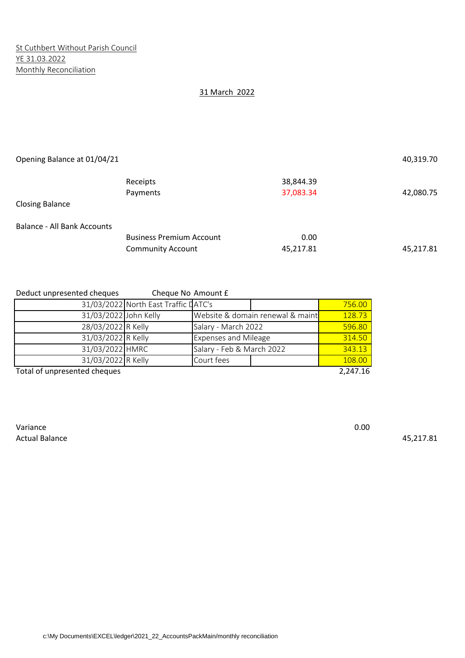## 31 March 2022

| Opening Balance at 01/04/21        |                                 |           | 40,319.70 |
|------------------------------------|---------------------------------|-----------|-----------|
|                                    | Receipts                        | 38,844.39 |           |
|                                    | Payments                        | 37,083.34 | 42,080.75 |
| <b>Closing Balance</b>             |                                 |           |           |
| <b>Balance - All Bank Accounts</b> |                                 |           |           |
|                                    | <b>Business Premium Account</b> | 0.00      |           |
|                                    | <b>Community Account</b>        | 45,217.81 | 45,217.81 |

Deduct unpresented cheques Cheque No Amount £

|                              | 31/03/2022 North East Traffic LATC's |                                  |        | 756.00   |
|------------------------------|--------------------------------------|----------------------------------|--------|----------|
| 31/03/2022 John Kelly        |                                      | Website & domain renewal & maint | 128.73 |          |
| 28/03/2022 R Kelly           |                                      | Salary - March 2022              |        | 596.80   |
| 31/03/2022 R Kelly           |                                      | <b>Expenses and Mileage</b>      | 314.50 |          |
| 31/03/2022 HMRC              |                                      | Salary - Feb & March 2022        | 343.13 |          |
| 31/03/2022 R Kelly           |                                      | Court fees                       |        | 108.00   |
| Total of unpresented cheques |                                      |                                  |        | 2,247.16 |

Variance **0.00** Actual Balance 45,217.81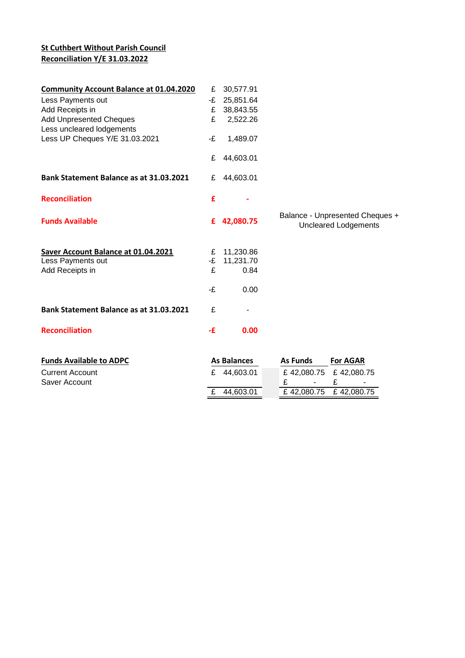# **St Cuthbert Without Parish Council Reconciliation Y/E 31.03.2022**

| <b>Community Account Balance at 01.04.2020</b> | £  | 30,577.91          |                                                                |
|------------------------------------------------|----|--------------------|----------------------------------------------------------------|
| Less Payments out                              | -£ | 25,851.64          |                                                                |
| Add Receipts in                                | £  | 38,843.55          |                                                                |
| <b>Add Unpresented Cheques</b>                 | £  | 2,522.26           |                                                                |
| Less uncleared lodgements                      |    |                    |                                                                |
| Less UP Cheques Y/E 31.03.2021                 | -£ | 1,489.07           |                                                                |
|                                                | £  | 44,603.01          |                                                                |
| Bank Statement Balance as at 31.03.2021        | £  | 44,603.01          |                                                                |
| <b>Reconciliation</b>                          | £  |                    |                                                                |
| <b>Funds Available</b>                         | £  | 42,080.75          | Balance - Unpresented Cheques +<br><b>Uncleared Lodgements</b> |
| Saver Account Balance at 01.04.2021            | £  | 11,230.86          |                                                                |
| Less Payments out                              | -£ | 11,231.70          |                                                                |
| Add Receipts in                                | £  | 0.84               |                                                                |
|                                                | -£ | 0.00               |                                                                |
| Bank Statement Balance as at 31.03.2021        | £  |                    |                                                                |
| <b>Reconciliation</b>                          | -£ | 0.00               |                                                                |
| <b>Funds Available to ADPC</b>                 |    | <b>As Balances</b> | <b>As Funds</b><br><b>For AGAR</b>                             |
| <b>Current Account</b>                         | £  | 44,603.01          | £42,080.75<br>£42,080.75                                       |
| Saver Account                                  |    |                    | £<br>£                                                         |
|                                                | £  | 44,603.01          | £42,080.75<br>£42,080.75                                       |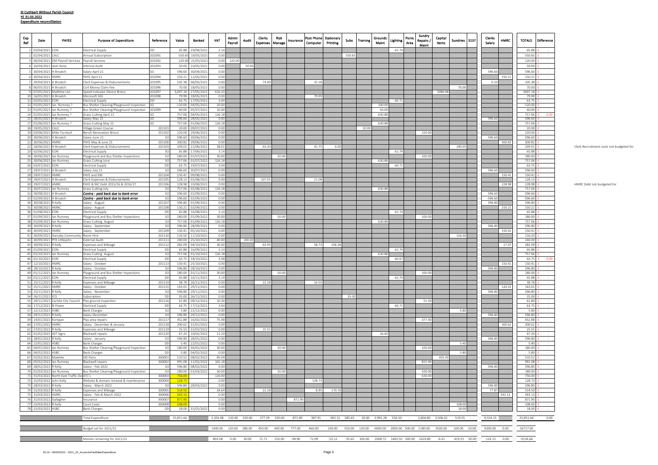| Exp<br>Date<br>Ref                                       | PAYEE                                      | <b>Purpose of Expenditure</b>                                               | Reference                      | Value            | Banked                                 | VAT             | Admin<br>Pavroll | Audit  | <b>Clerks</b><br><b>Expenses   Manage</b>       | Risk  | Insurance | Post Phone Stationary<br>Computer                  | Printing | Subs   | <b>Training</b> | Grounds<br>Maint                      | Lighting | Picnic<br>Area | Sundry<br>Repairs /<br>Maint                         | Capital<br>Items | S137<br>Sundries                                                                                                                                                                            | Clerks<br>Salary | HMRC   | <b>TOTALS</b><br><b>Difference</b> |                                          |
|----------------------------------------------------------|--------------------------------------------|-----------------------------------------------------------------------------|--------------------------------|------------------|----------------------------------------|-----------------|------------------|--------|-------------------------------------------------|-------|-----------|----------------------------------------------------|----------|--------|-----------------|---------------------------------------|----------|----------------|------------------------------------------------------|------------------|---------------------------------------------------------------------------------------------------------------------------------------------------------------------------------------------|------------------|--------|------------------------------------|------------------------------------------|
| 1 03/04/2021 EON                                         |                                            | <b>Electrical Supply</b>                                                    | DD                             |                  | 65.88 19/04/2021                       | 3.14            |                  |        |                                                 |       |           |                                                    |          |        |                 |                                       | 62.74    |                |                                                      |                  |                                                                                                                                                                                             |                  |        | 65.88                              |                                          |
| 2 01/04/2021 CALC                                        |                                            | Annual Subscription                                                         | 201091                         |                  | 550.65 19/05/2021                      | 0.00            |                  |        |                                                 |       |           |                                                    |          | 550.65 |                 |                                       |          |                |                                                      |                  |                                                                                                                                                                                             |                  |        | 550.65                             |                                          |
| 4 16/04/2021 Jean Airey                                  | 3 06/04/2021 DM Payroll Services           | Payroll Services<br>Internal Audit                                          | 201092<br>201093               |                  | 120.00 21/05/202<br>50.00 10/05/2021   | 0.00<br>0.00    | 120.00           | 50.00  |                                                 |       |           |                                                    |          |        |                 |                                       |          |                |                                                      |                  |                                                                                                                                                                                             |                  |        | 120.00<br>50.00                    |                                          |
| 5 30/04/2021 H Broatch                                   |                                            | Salary April 21                                                             | <b>SO</b>                      | 596.60           | 30/04/2021                             | 0.00            |                  |        |                                                 |       |           |                                                    |          |        |                 |                                       |          |                |                                                      |                  |                                                                                                                                                                                             | 596.60           |        | 596.60                             |                                          |
| 6 30/04/2021 HMRC                                        |                                            | PAYE April 21                                                               | 201094                         | 150.21           | 12/05/2021                             | 0.00            |                  |        |                                                 |       |           |                                                    |          |        |                 |                                       |          |                |                                                      |                  |                                                                                                                                                                                             |                  | 150.21 | 150.21                             |                                          |
| 29/04/2021 H Broatch                                     |                                            | Clerk Expenses & Disbursements                                              | 201095                         | 105.38           | 06/05/2021                             | 0.00            |                  |        | 73.00                                           |       |           | 32.18                                              |          |        |                 |                                       |          |                |                                                      |                  |                                                                                                                                                                                             | 0.20             |        | 105.38                             |                                          |
| 8 06/05/2021 H Broatch                                   |                                            | Civil Money Claim Fee                                                       | 201096                         |                  | 70.00 18/05/2021                       | 0.00            |                  |        |                                                 |       |           |                                                    |          |        |                 |                                       |          |                |                                                      |                  | 70.00                                                                                                                                                                                       |                  |        | 70.00                              |                                          |
| 9 07/05/2021 Mallititie Ltd<br>10 16/05/2021 H Broatch   |                                            | Speed Indicator Device Brisco<br>Microsoft 365                              | 201097<br>201098               | 79.99            | 3.697.18 27/05/2021<br>18/05/2021      | 616.20<br>0.00  |                  |        |                                                 |       |           | 79.99                                              |          |        |                 |                                       |          |                |                                                      | 3080.98          |                                                                                                                                                                                             |                  |        | 3697.18<br>79.99                   |                                          |
| 11 02/05/2021 EON                                        |                                            | <b>Electrical Supply</b>                                                    | <b>DD</b>                      | 63.75            | 17/05/2023                             | 3.04            |                  |        |                                                 |       |           |                                                    |          |        |                 |                                       | 60.71    |                |                                                      |                  |                                                                                                                                                                                             |                  |        | 63.75                              |                                          |
| 12 01/05/2021 lan Rumney?                                |                                            | Bus Shelter Cleaning/Playground Inspection SO                               |                                |                  | 120.00 04/05/2021                      | 20.00           |                  |        |                                                 |       |           |                                                    |          |        |                 | 100.00                                |          |                |                                                      |                  |                                                                                                                                                                                             |                  |        | 120.00                             |                                          |
| 13 01/05/2021 lan Rumney ?<br>14 01/05/2021 Ian Rumney ? |                                            | Bus Shelter Cleaning/Playground Inspection 201099<br>Grass Cutting April 21 | <b>SO</b>                      |                  | 60.00 05/07/2021<br>757.06 04/05/2021  | 10.00<br>126.18 |                  |        |                                                 |       |           |                                                    |          |        |                 | 50.00<br>630.88                       |          |                |                                                      |                  |                                                                                                                                                                                             |                  |        | 60.00<br>757.06                    |                                          |
| 15 28/05/2021 H Broatch                                  |                                            | Salary May 21                                                               | <b>ISO</b>                     |                  | 596.60 28/05/2021                      | 0.00            |                  |        |                                                 |       |           |                                                    |          |        |                 |                                       |          |                |                                                      |                  |                                                                                                                                                                                             | 596.60           |        | 596.60                             |                                          |
| 17 01/06/2021 lan Rumney ?                               |                                            | Grass Cutting May 21                                                        | SO.                            | 757.06           | 01/06/2021                             | 126.18          |                  |        |                                                 |       |           |                                                    |          |        |                 | 630.88                                |          |                |                                                      |                  |                                                                                                                                                                                             |                  |        | 757.06                             |                                          |
| 18 19/05/2021 CALC<br>19 03/06/2021 Mike Turnbull        |                                            | Village Green Course<br>Bench Renovation Brisco                             | 20110<br>20110                 | 20.00<br>220.00  | 09/07/2021<br>29/06/2021               | 0.00<br>0.00    |                  |        |                                                 |       |           |                                                    |          |        | 20.00           |                                       |          |                | 220.00                                               |                  |                                                                                                                                                                                             |                  |        | 20.00<br>220.00                    |                                          |
| 20 30/06/2021 H Broatch                                  |                                            | Salary June 21                                                              |                                | 596.60           | 30/06/2021                             | 0.00            |                  |        |                                                 |       |           |                                                    |          |        |                 |                                       |          |                |                                                      |                  |                                                                                                                                                                                             | 596.60           |        | 596.60                             |                                          |
| 21 30/06/2021 HMRC                                       |                                            | PAYE May & June 21                                                          | 201100                         | 300.82           | 29/06/2021                             | 0.00            |                  |        |                                                 |       |           |                                                    |          |        |                 |                                       |          |                |                                                      |                  |                                                                                                                                                                                             |                  | 300.82 | 300.82                             |                                          |
| 22 16/06/2021 H Broatch<br>23 02/06/2021 EON             |                                            | Clerk Expenses & Disbursements<br><b>Electrical Supply</b>                  | 201103<br>SC <sup></sup>       | 339.01<br>65.88  | 21/06/2021<br>17/06/2021               | 38.01<br>3.14   |                  |        | 63.20                                           |       |           | 41.75                                              | 6.00     |        |                 |                                       | 62.74    |                |                                                      |                  | 190.05                                                                                                                                                                                      |                  |        | 339.01<br>65.88                    | Clerk Recruitment costs not budgeted for |
| 24 30/06/2021 lan Rumney                                 |                                            | Playground and Bus Shelter Inspections                                      | SO <sub>1</sub>                | 180.00           | 01/07/2021                             | 30.00           |                  |        |                                                 | 50.00 |           |                                                    |          |        |                 |                                       |          |                | 100.00                                               |                  |                                                                                                                                                                                             |                  |        | 180.00                             |                                          |
| 25 30/06/2021 lan Rumney                                 |                                            | <b>Grass Cutting June</b>                                                   | SO <sub>1</sub>                | 757.06           | 01/07/2021                             | 126.18          |                  |        |                                                 |       |           |                                                    |          |        |                 | 630.88                                |          |                |                                                      |                  |                                                                                                                                                                                             |                  |        | 757.06                             |                                          |
| 26 03/07/2021 EON                                        |                                            | <b>Electrical Supply</b>                                                    | DD                             | 63.75            | 19/07/2021                             | 3.04            |                  |        |                                                 |       |           |                                                    |          |        |                 |                                       | 60.71    |                |                                                      |                  |                                                                                                                                                                                             |                  |        | 63.75                              |                                          |
| 27 29/07/2021 H Broatch<br>28 29/07/2021 HMRC            |                                            | Salary July 21<br>PAYE and ENI                                              | SO <sub>1</sub><br>201104      | 596.60<br>150.41 | 30/07/2021<br>09/08/2021               | 0.00<br>0.00    |                  |        |                                                 |       |           |                                                    |          |        |                 |                                       |          |                |                                                      |                  |                                                                                                                                                                                             | 596.60           | 150.41 | 596.60<br>150.41                   |                                          |
| 29 29/07/2021 H Broatch                                  |                                            | Clerk Expenses & Disbursements                                              | 201105                         | 128.13           | 02/08/2021                             | 0.00            |                  |        | 107.05                                          |       |           | 21.08                                              |          |        |                 |                                       |          |                |                                                      |                  |                                                                                                                                                                                             |                  |        | 128.13                             |                                          |
| 30 29/07/2021 HMRC                                       |                                            | PAYE & NIC Debt 2015/16 & 2016/17                                           | 201106                         | 228.98           | 10/08/2021                             | 0.00            |                  |        |                                                 |       |           |                                                    |          |        |                 |                                       |          |                |                                                      |                  |                                                                                                                                                                                             |                  | 228.98 | 228.98                             | HMRC Debt not budgeted for               |
| 31 30/07/2021 lan Rumney<br>32 30/08/2021 H Broatch      |                                            | Grass Cutting July<br>Contra - paid back due to bank error                  | <sub>SC</sub><br><sub>SC</sub> | 757.06<br>596.60 | 02/08/2021<br>01/09/2021               | 126.18<br>0.00  |                  |        |                                                 |       |           |                                                    |          |        |                 | 630.88                                |          |                |                                                      |                  |                                                                                                                                                                                             | 596.60           |        | 757.06<br>596.60                   |                                          |
| 33 02/09/2021 H Broatch                                  |                                            | Contra - paid back due to bank error                                        | SC                             | 596.60           | 02/09/2021                             | 0.00            |                  |        |                                                 |       |           |                                                    |          |        |                 |                                       |          |                |                                                      |                  |                                                                                                                                                                                             | 596.60           |        | -596.60                            |                                          |
| 34 30/08/2021 R Kelly                                    |                                            | Salary - August                                                             | 20110                          | 596.80           | 01/09/2021                             | 0.00            |                  |        |                                                 |       |           |                                                    |          |        |                 |                                       |          |                |                                                      |                  |                                                                                                                                                                                             | 596.80           |        | 596.80                             |                                          |
| 35 30/08/2021 HMRC                                       |                                            | Salary - August                                                             | 201108                         |                  | 150.21 02/09/2021                      | 0.00            |                  |        |                                                 |       |           |                                                    |          |        |                 |                                       |          |                |                                                      |                  |                                                                                                                                                                                             |                  | 150.2  | 150.21                             |                                          |
| 36 01/08/2021 EON<br>37 01/09/2021 lan Rumney            |                                            | <b>Electrical Supply</b><br>Playground and Bus Shelter Inspections          | <b>DD</b><br><sub>SO</sub>     |                  | 65.88 16/08/2021<br>180.00 01/09/2021  | 3.14<br>30.00   |                  |        |                                                 | 50.00 |           |                                                    |          |        |                 |                                       | 62.74    |                | 100.00                                               |                  |                                                                                                                                                                                             |                  |        | 65.88<br>180.00                    |                                          |
| 38 01/09/2021 lan Rumney                                 |                                            | <b>Grass Cutting August</b>                                                 | <sub>SO</sub>                  |                  | 757.06 01/09/2021                      | 126.18          |                  |        |                                                 |       |           |                                                    |          |        |                 | 630.88                                |          |                |                                                      |                  |                                                                                                                                                                                             |                  |        | 757.06                             |                                          |
| 39 30/09/2021 R Kelly                                    |                                            | Salary - September                                                          | <sub>SO</sub>                  |                  | 596.80 28/09/2021                      | 0.00            |                  |        |                                                 |       |           |                                                    |          |        |                 |                                       |          |                |                                                      |                  |                                                                                                                                                                                             | 596.80           |        | 596.80                             |                                          |
| 40 30/09/2021 HMRC                                       | 41 30/09/2021 Harraby Community Room Hire  | Salary - September                                                          | 201109<br>20111                |                  | 150.41 05/10/2021<br>116.50 11/10/2021 | 0.00<br>0.00    |                  |        |                                                 |       |           |                                                    |          |        |                 |                                       |          |                |                                                      |                  | 116.50                                                                                                                                                                                      |                  | 150.43 | 150.41<br>116.50                   |                                          |
| 42 30/09/2021 PFK Littlejohn                             |                                            | External Audit                                                              | 20111                          |                  | 240.00 25/10/2021                      | 40.00           |                  | 200.00 |                                                 |       |           |                                                    |          |        |                 |                                       |          |                |                                                      |                  |                                                                                                                                                                                             |                  |        | 240.00                             |                                          |
| 43 30/09/2021 R Kelly                                    |                                            | <b>Expenses and Mileage</b>                                                 | 201112                         |                  | 282.09 04/10/2021                      | 36.00           |                  |        | 63.93                                           |       |           | 58.73                                              | 106.36   |        |                 |                                       |          |                |                                                      |                  |                                                                                                                                                                                             |                  | 17.07  | 282.09                             |                                          |
| 44 01/09/2021 EON                                        |                                            | <b>Electrical Supply</b>                                                    | <b>DD</b><br><sub>SO</sub>     |                  | 65.88 16/09/2021                       | 3.14<br>126.18  |                  |        |                                                 |       |           |                                                    |          |        |                 | 630.88                                | 62.74    |                |                                                      |                  |                                                                                                                                                                                             |                  |        | 65.88                              |                                          |
| 45 01/10/2021 lan Rumney<br>46 01/10/2021 EON            |                                            | <b>Grass Cutting August</b><br><b>Electrical Supply</b>                     | DD                             |                  | 757.06 01/10/2021<br>63.75 18/10/2021  | 3.08            |                  |        |                                                 |       |           |                                                    |          |        |                 |                                       | 60.67    |                |                                                      |                  |                                                                                                                                                                                             |                  |        | 757.06<br>63.75<br>0.0             |                                          |
| 47 12/10/2021 HMRC                                       |                                            | Salary - October                                                            | 201113                         |                  | 150.41 25/10/2021                      | 0.00            |                  |        |                                                 |       |           |                                                    |          |        |                 |                                       |          |                |                                                      |                  |                                                                                                                                                                                             |                  | 150.43 | 150.41                             |                                          |
| 48 28/10/2021 R Kelly                                    |                                            | Salary - October                                                            | <sub>SO</sub>                  |                  | 596.80 28/10/2021                      | 0.00            |                  |        |                                                 |       |           |                                                    |          |        |                 |                                       |          |                |                                                      |                  |                                                                                                                                                                                             | 596.80           |        | 596.80                             |                                          |
| 49 01/11/2021 lan Rumney<br>50 01/11/2021 EON            |                                            | Playground and Bus Shelter Inspections<br><b>Electrical Supply</b>          | <sub>SO</sub><br>DD            |                  | 180.00 01/11/2021<br>65.88 16/11/2021  | 30.00<br>3.14   |                  |        |                                                 | 50.00 |           |                                                    |          |        |                 |                                       | 62.74    |                | 100.00                                               |                  |                                                                                                                                                                                             |                  |        | 180.00<br>65.88                    |                                          |
| 51 25/11/2021 R Kelly                                    |                                            | <b>Expenses and Mileage</b>                                                 | 201114                         |                  | 38.78 26/11/2021                       | 0.00            |                  |        | 22.28                                           |       |           | 16.50                                              |          |        |                 |                                       |          |                |                                                      |                  |                                                                                                                                                                                             |                  |        | 38.78                              |                                          |
| 52 25/11/2021 HMRC                                       |                                            | Salary - October                                                            | 201115                         |                  | 143.01 29/11/2021                      | 0.00            |                  |        |                                                 |       |           |                                                    |          |        |                 |                                       |          |                |                                                      |                  |                                                                                                                                                                                             |                  | 143.03 | 143.01                             |                                          |
| 53 25/11/2021 R Kelly                                    |                                            | Salary - November                                                           | <sub>SO</sub><br>DD            |                  | 596.80 29/11/2021                      | 0.00<br>0.00    |                  |        |                                                 |       |           |                                                    |          | 35.00  |                 |                                       |          |                |                                                      |                  |                                                                                                                                                                                             | 596.80           |        | 596.80                             |                                          |
| 54 26/11/2021 ICO                                        |                                            | Subscription<br>55 29/11/2021 Carlisle City Council Play ground inspection  | 201116                         |                  | 35.00 26/11/2021<br>61.80 09/12/2021   | 10.30           |                  |        |                                                 |       |           |                                                    |          |        |                 |                                       |          |                | 51.50                                                |                  |                                                                                                                                                                                             |                  |        | 35.00<br>61.80                     |                                          |
| 56 17/12/2021 N Power                                    |                                            | <b>Electrical Supply</b>                                                    | <b>DD</b>                      |                  | 63.75 17/12/2021                       | 3.04            |                  |        |                                                 |       |           |                                                    |          |        |                 |                                       | 60.71    |                |                                                      |                  |                                                                                                                                                                                             |                  |        | 63.75                              |                                          |
| 57 22/12/2021 HSBC                                       |                                            | <b>Bank Charges</b>                                                         | <sub>SO</sub>                  |                  | 5.80 22/12/2022                        | 0.00            |                  |        |                                                 |       |           |                                                    |          |        |                 |                                       |          |                |                                                      |                  | 5.80                                                                                                                                                                                        |                  |        | 5.80                               |                                          |
| 58 29/12/2021 R Kelly<br>59 14/01/2022 Kompan            |                                            | Salary December<br>Play area repairs                                        | <sub>SO</sub><br>201117        |                  | 596.80 29/12/2021<br>452.88 16/02/2022 | 0.00<br>75.48   |                  |        |                                                 |       |           |                                                    |          |        |                 |                                       |          |                | 377.40                                               |                  |                                                                                                                                                                                             | 596.80           |        | 596.80<br>452.88                   |                                          |
| 60 27/01/2022 HMRC                                       |                                            | Salary - December & January                                                 | 201118                         |                  | 300.62 31/01/2022                      | 0.00            |                  |        |                                                 |       |           |                                                    |          |        |                 |                                       |          |                |                                                      |                  |                                                                                                                                                                                             |                  | 300.62 | 300.62                             |                                          |
| 61 27/01/2022 R Kelly                                    |                                            | <b>Expenses and Mileage</b>                                                 | 20111                          |                  | 25.55 31/01/2022                       | 0.00            |                  |        | 25.55                                           |       |           |                                                    |          |        |                 |                                       |          |                |                                                      |                  |                                                                                                                                                                                             |                  |        | 25.55                              |                                          |
| 62 01/02/2022 AST Signs                                  |                                            | Blackwell repairs                                                           | 201120                         |                  | 67.20 10/02/2022                       | 11.20           |                  |        |                                                 |       |           |                                                    |          |        |                 | 56.00                                 |          |                |                                                      |                  |                                                                                                                                                                                             |                  |        | 67.20                              |                                          |
| 63 28/01/2022 R Kelly<br>64 22/01/2022 HSBC              |                                            | Salary - January<br><b>Bank Charges</b>                                     | <sub>SO</sub><br>DD            |                  | 596.80 28/01/2022<br>5.40 22/01/2022   | 0.00<br>0.00    |                  |        |                                                 |       |           |                                                    |          |        |                 |                                       |          |                |                                                      |                  | 5.40                                                                                                                                                                                        | 596.80           |        | 596.80<br>5.40                     |                                          |
| 65 04/01/2022 lan Rumney                                 |                                            | Bus Shelter Cleaning/Playground Inspection                                  | <b>SO</b>                      |                  | 180.00 04/01/2022                      | 30.00           |                  |        |                                                 | 50.00 |           |                                                    |          |        |                 |                                       |          |                | 100.00                                               |                  |                                                                                                                                                                                             |                  |        | 180.00                             |                                          |
| 66 04/02/2022 HSBC                                       |                                            | <b>Bank Charges</b>                                                         | DD                             |                  | 5.80 04/02/2022                        | 0.00            |                  |        |                                                 |       |           |                                                    |          |        |                 |                                       |          |                |                                                      |                  | 5.80                                                                                                                                                                                        |                  |        | 5.80                               |                                          |
| 67 02/02/2022 Maletite<br>68 05/02/2022 lan Rumney       |                                            | SID Parts<br>Blackwell repairs                                              | 300001<br>300002               |                  | 510.52 08/02/2022<br>991.08 11/02/2022 | 85.09<br>165.18 |                  |        |                                                 |       |           |                                                    |          |        |                 |                                       |          |                | 825.90                                               | 425.43           |                                                                                                                                                                                             |                  |        | 510.52<br>991.08                   |                                          |
| 69 28/02/2022 R Kelly                                    |                                            | Salary - Feb 2022                                                           | <sub>SO</sub>                  |                  | 596.80 08/02/2022                      | 0.00            |                  |        |                                                 |       |           |                                                    |          |        |                 |                                       |          |                |                                                      |                  |                                                                                                                                                                                             | 596.80           |        | 596.80                             |                                          |
| 70 01/03/2022 lan Rumney                                 |                                            | Bus Shelter Cleaning/Playground Inspection                                  | <sub>SO</sub>                  |                  | 180.00 01/03/2022                      | 30.00           |                  |        |                                                 | 50.00 |           |                                                    |          |        |                 |                                       |          |                | 100.00                                               |                  |                                                                                                                                                                                             |                  |        | 180.00                             |                                          |
| 72 31/03/2022 John Kelly                                 | 71 31/03/2022 North East Traffic Dat ATC's |                                                                             | 300003                         | 756.00           |                                        | 126.00          |                  |        |                                                 |       |           |                                                    |          |        |                 |                                       |          |                | 630.00                                               |                  |                                                                                                                                                                                             |                  |        | 756.00                             |                                          |
| 73 28/03/2022 R Kelly                                    |                                            | Website & domain renewal & maintenance<br>Salary - March 2022               | 300004<br><sub>SO</sub>        | 128.7            | 596.80 28/03/2022                      | 0.0<br>0.00     |                  |        |                                                 |       |           | 128.73                                             |          |        |                 |                                       |          |                |                                                      |                  |                                                                                                                                                                                             | 596.80           |        | 128.73<br>596.80                   |                                          |
| 74 31/03/2022 R Kelly                                    |                                            | <b>Expenses and Mileage</b>                                                 | 300005                         | 314.50           |                                        | 34.64           |                  |        | 22.28                                           |       |           | 8.95                                               | 170.76   |        |                 |                                       |          |                |                                                      |                  |                                                                                                                                                                                             | 77.87            |        | 314.50                             |                                          |
| 75 31/03/2022 HMRC                                       |                                            | Salary - Feb & March 2022                                                   | 300006                         | 343.13           |                                        | 0.00            |                  |        |                                                 |       |           |                                                    |          |        |                 |                                       |          |                |                                                      |                  |                                                                                                                                                                                             |                  | 343.13 | 343.13                             |                                          |
| 76 31/03/2022 Gallagher                                  |                                            | Insurance                                                                   | 300007                         | 871.90           |                                        | 0.00            |                  |        |                                                 |       | 871.90    |                                                    |          |        |                 |                                       |          |                |                                                      |                  |                                                                                                                                                                                             |                  |        | 871.90                             |                                          |
| 77 31/03/2022 R Kelly<br>78 31/03/2022 HSBC              |                                            | Court Costs<br><b>Bank Charges</b>                                          | 300008<br>DD                   | 108.00           | 18.00 31/01/2022                       | 0.00<br>0.00    |                  |        |                                                 |       |           |                                                    |          |        |                 |                                       |          |                |                                                      |                  | 108.00<br>18.00                                                                                                                                                                             |                  |        | 108.00<br>18.00                    |                                          |
|                                                          |                                            |                                                                             |                                |                  |                                        |                 |                  |        |                                                 |       |           |                                                    |          |        |                 |                                       |          |                |                                                      |                  |                                                                                                                                                                                             |                  |        |                                    |                                          |
|                                                          |                                            | Total Expenditure                                                           |                                | 25,851.64        |                                        |                 |                  |        |                                                 |       |           | 2,203.08 120.00 250.00 377.29 250.00 871.90 387.91 |          |        |                 | 283.12 585.65 20.00 3,991.28 556.50 - |          |                |                                                      |                  | 2,604.80 3,506.41 519.55 -                                                                                                                                                                  | 9,324.15         |        | 25,851.64<br>0.00                  |                                          |
|                                                          |                                            | Budget set for 2021/22                                                      |                                |                  |                                        |                 |                  |        | 1400.00  120.00  280.00  450.00  400.00  777.00 |       |           | 460.00                                             | 230.00   |        |                 |                                       |          |                | 550.00 120.00 6000.00 2000.00 500.00 1180.00 3500.00 |                  | 100.00 50.00                                                                                                                                                                                | 9200.00 0.00     |        | 16717.00                           |                                          |
|                                                          |                                            |                                                                             |                                |                  |                                        |                 |                  |        |                                                 |       |           |                                                    |          |        |                 |                                       |          |                |                                                      |                  |                                                                                                                                                                                             |                  |        |                                    |                                          |
|                                                          |                                            | Monies remaining for 2021/22                                                |                                |                  |                                        |                 |                  |        | -803.08  0.00  30.00  72.71  150.00  -94.90     |       |           | 72.09                                              |          |        |                 |                                       |          |                |                                                      |                  | $-53.12 \qquad -35.65 \qquad 100.00 \qquad 2008.72 \qquad 1443.50 \qquad 500.00 \qquad -1424.80 \qquad -6.41 \qquad -419.55 \qquad 50.00 \qquad -124.15 \qquad 0.00 \qquad \qquad -9134.64$ |                  |        |                                    |                                          |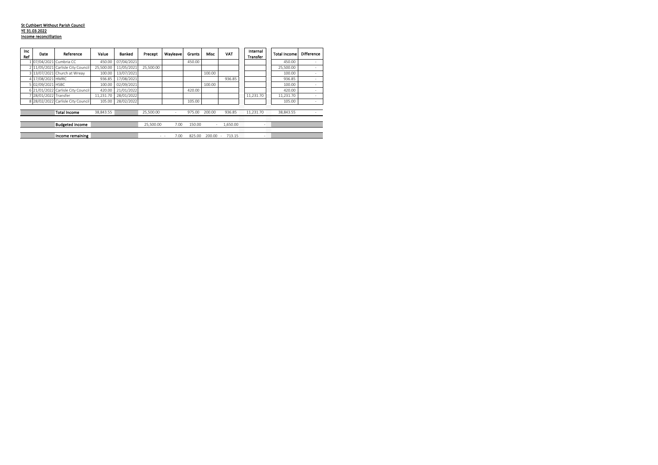#### St Cuthbert Without Parish Council YE 31.03.2022 **Income reconcilliation**

| Inc<br>Ref | <b>Date</b>         | Reference                          | Value     | <b>Banked</b> | Precept   | Wavleave | Grants | Misc   | VAT      | Internal<br>Transfer |                        | <b>Total Income</b> | Difference |
|------------|---------------------|------------------------------------|-----------|---------------|-----------|----------|--------|--------|----------|----------------------|------------------------|---------------------|------------|
|            |                     | 07/04/2021 Cumbria CC              | 450.00    | 07/04/2021    |           |          | 450.00 |        |          |                      |                        | 450.00              |            |
|            |                     | 2 11/05/2021 Carlisle City Council | 25.500.00 | 11/05/2021    | 25.500.00 |          |        |        |          |                      |                        | 25,500.00           |            |
|            |                     | 3 13/07/2021 Church at Wreav       | 100.00    | 13/07/2021    |           |          |        | 100.00 |          |                      |                        | 100.00              |            |
|            | 4 17/08/2021 HMRC   |                                    | 936.85    | 17/08/2021    |           |          |        |        | 936.85   |                      |                        | 936.85              |            |
|            | 5 02/09/2021 HSBC   |                                    | 100.00    | 02/09/2021    |           |          |        | 100.00 |          |                      |                        | 100.00              | ۰          |
|            |                     | 6 21/01/2022 Carlisle City Council | 420.00    | 21/01/2022    |           |          | 420.00 |        |          |                      |                        | 420.00              |            |
|            | 28/01/2022 Transfer |                                    | 11.231.70 | 28/01/2022    |           |          |        |        |          | 11.231.70            |                        | 11,231.70           |            |
|            |                     | 8 28/02/2022 Carlisle City Council | 105.00    | 28/02/2022    |           |          | 105.00 |        |          |                      |                        | 105.00              | ۰          |
|            |                     |                                    |           |               |           |          |        |        |          |                      |                        |                     |            |
|            |                     | <b>Total Income</b>                | 38.843.55 |               | 25.500.00 | -        | 975.00 | 200.00 | 936.85   | 11.231.70            |                        | 38,843.55           |            |
|            |                     |                                    |           |               |           |          |        |        |          |                      | ,,,,,,<br>,,,,,,<br>88 |                     |            |
|            |                     | <b>Budgeted income</b>             |           |               | 25.500.00 | 7.00     | 150.00 | ٠      | 1.650.00 |                      | - 28                   |                     |            |
|            |                     |                                    |           |               |           |          |        |        |          |                      |                        |                     |            |
|            |                     | Income remaining                   |           |               |           | 7.00     | 825.00 | 200.00 | 713.15   |                      | -88                    |                     |            |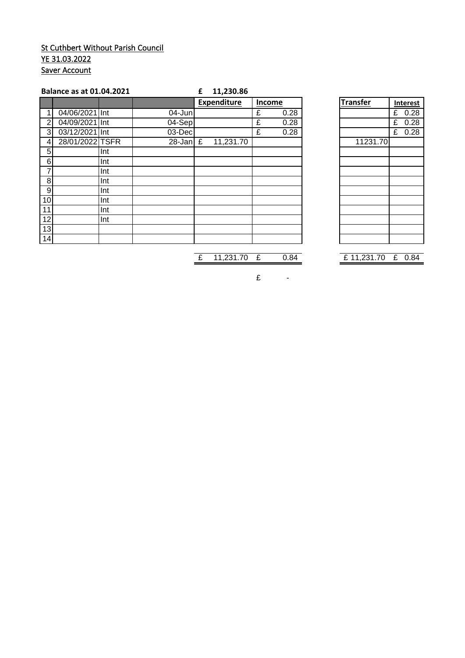# St Cuthbert Without Parish Council YE 31.03.2022 **Saver Account**

|                  | <b>Balance as at 01.04.2021</b> |     |            | £ | 11,230.86   |        |      |                 |           |
|------------------|---------------------------------|-----|------------|---|-------------|--------|------|-----------------|-----------|
|                  |                                 |     |            |   | Expenditure | Income |      | <b>Transfer</b> | Interest  |
|                  | 04/06/2021 Int                  |     | $04$ -Jun  |   |             | £      | 0.28 |                 | 0.28<br>£ |
| $\overline{2}$   | 04/09/2021 Int                  |     | 04-Sep     |   |             | £      | 0.28 |                 | 0.28<br>£ |
| 3                | 03/12/2021 Int                  |     | $03$ -Dec  |   |             | £      | 0.28 |                 | 0.28<br>£ |
| 4                | 28/01/2022 TSFR                 |     | 28-Jan $E$ |   | 11,231.70   |        |      | 11231.70        |           |
| 5                |                                 | Int |            |   |             |        |      |                 |           |
| 6                |                                 | Int |            |   |             |        |      |                 |           |
|                  |                                 | Int |            |   |             |        |      |                 |           |
| 8                |                                 | Int |            |   |             |        |      |                 |           |
| $\boldsymbol{9}$ |                                 | Int |            |   |             |        |      |                 |           |
| 10               |                                 | Int |            |   |             |        |      |                 |           |
| 11               |                                 | Int |            |   |             |        |      |                 |           |
| 12               |                                 | Int |            |   |             |        |      |                 |           |
| 13               |                                 |     |            |   |             |        |      |                 |           |
| 14               |                                 |     |            |   |             |        |      |                 |           |

| <b>Transfer</b> | <b>Interest</b> |          |  |  |  |  |
|-----------------|-----------------|----------|--|--|--|--|
|                 | £               | 0.28     |  |  |  |  |
|                 |                 | $£$ 0.28 |  |  |  |  |
|                 |                 | £ $0.28$ |  |  |  |  |
| 11231.70        |                 |          |  |  |  |  |
|                 |                 |          |  |  |  |  |
|                 |                 |          |  |  |  |  |
|                 |                 |          |  |  |  |  |
|                 |                 |          |  |  |  |  |
|                 |                 |          |  |  |  |  |
|                 |                 |          |  |  |  |  |
|                 |                 |          |  |  |  |  |
|                 |                 |          |  |  |  |  |
|                 |                 |          |  |  |  |  |
|                 |                 |          |  |  |  |  |

£ 11,231.70 £ 0.84 £ 11,231.70 £ 0.84

 $E$  -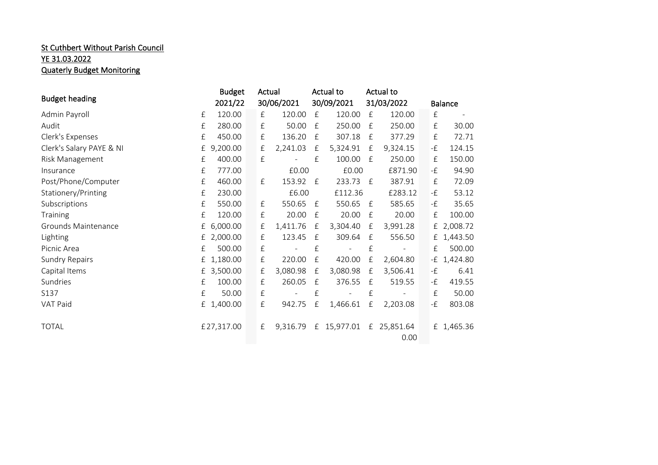# **St Cuthbert Without Parish Council** YE 31.03.2022 Quaterly Budget Monitoring

|                          |           | <b>Budget</b> | Actual    |            |              | Actual to  |              | Actual to         |                           |                |
|--------------------------|-----------|---------------|-----------|------------|--------------|------------|--------------|-------------------|---------------------------|----------------|
| <b>Budget heading</b>    |           | 2021/22       |           | 30/06/2021 |              | 30/09/2021 |              | 31/03/2022        |                           | <b>Balance</b> |
| Admin Payroll            | $\pounds$ | 120.00        | $\pounds$ | 120.00     | $\mathbf{f}$ | 120.00     | £            | 120.00            | $\pounds$                 |                |
| Audit                    | £         | 280.00        | £         | 50.00      | $\mathbf{f}$ | 250.00     | £            | 250.00            | £                         | 30.00          |
| Clerk's Expenses         | £         | 450.00        | £         | 136.20     | £            | 307.18     | £            | 377.29            | $\pounds$                 | 72.71          |
| Clerk's Salary PAYE & NI | £         | 9,200.00      | £         | 2,241.03   | £            | 5,324.91   | £            | 9,324.15          | -£                        | 124.15         |
| Risk Management          | £         | 400.00        | £         |            | £            | 100.00     | $\mathbf{f}$ | 250.00            | $\ensuremath{\mathsf{f}}$ | 150.00         |
| Insurance                | £         | 777.00        |           | £0.00      |              | £0.00      |              | £871.90           | -£                        | 94.90          |
| Post/Phone/Computer      | £         | 460.00        | £         | 153.92     | f E          | 233.73     | £            | 387.91            | £                         | 72.09          |
| Stationery/Printing      | £         | 230.00        |           | £6.00      |              | £112.36    |              | £283.12           | -£                        | 53.12          |
| Subscriptions            | $\pounds$ | 550.00        | $\pounds$ | 550.65     | E            | 550.65     | $\mathbf{f}$ | 585.65            | -£                        | 35.65          |
| Training                 | £         | 120.00        | £         | 20.00      | $\mathbf{f}$ | 20.00      | £            | 20.00             | £                         | 100.00         |
| Grounds Maintenance      | £         | 6,000.00      | £         | 1,411.76   | £            | 3,304.40   | £            | 3,991.28          |                           | £ 2,008.72     |
| Lighting                 | £         | 2,000.00      | £         | 123.45     | $\mathbf{f}$ | 309.64     | £            | 556.50            |                           | £ 1,443.50     |
| Picnic Area              | £         | 500.00        | £         |            | £            |            | $\pounds$    |                   | £                         | 500.00         |
| <b>Sundry Repairs</b>    | £         | 1,180.00      | £         | 220.00     | £            | 420.00     | £            | 2,604.80          |                           | $-E$ 1,424.80  |
| Capital Items            | £         | 3,500.00      | £         | 3,080.98   | $\mathbf{f}$ | 3,080.98   | $\mathbf{f}$ | 3,506.41          | -£                        | 6.41           |
| Sundries                 | £         | 100.00        | $\pounds$ | 260.05     | $\mathbf{f}$ | 376.55     | £            | 519.55            | -£                        | 419.55         |
| S137                     | $\pounds$ | 50.00         | £         |            | £            |            | £            |                   | $\pounds$                 | 50.00          |
| VAT Paid                 |           | £ 1,400.00    | £         | 942.75     | £            | 1,466.61   | £            | 2,203.08          | -£                        | 803.08         |
|                          |           |               |           |            |              |            |              |                   |                           |                |
| <b>TOTAL</b>             |           | £27,317.00    | $\pounds$ | 9,316.79   | £            | 15,977.01  | f            | 25,851.64<br>0.00 |                           | £ 1,465.36     |
|                          |           |               |           |            |              |            |              |                   |                           |                |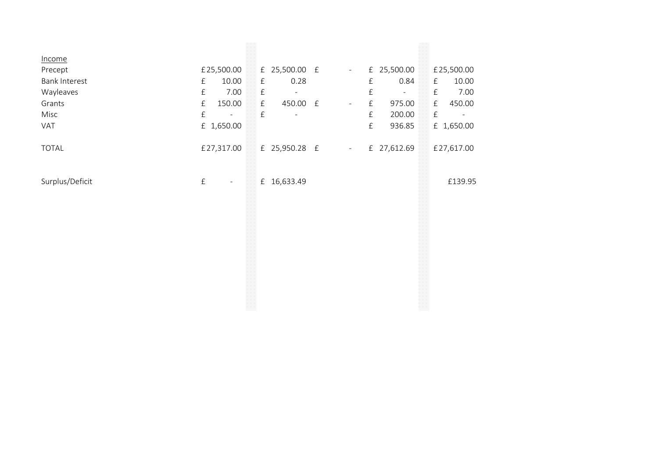| Income               |           |                     |           |                          |                          |           |                          |             |            |
|----------------------|-----------|---------------------|-----------|--------------------------|--------------------------|-----------|--------------------------|-------------|------------|
| Precept              |           | £25,500.00          |           | £ 25,500.00 $f$          | $\overline{\phantom{a}}$ |           | £ 25,500.00              |             | £25,500.00 |
| <b>Bank Interest</b> | $\pounds$ | 10.00               | $\pounds$ | 0.28                     |                          | $\pounds$ | 0.84                     | f           | 10.00      |
| Wayleaves            | $\pounds$ | 7.00                | $\pounds$ | $\overline{\phantom{a}}$ |                          | $\pounds$ | $\overline{\phantom{a}}$ | $\pounds$   | 7.00       |
| Grants               | $\pounds$ | 150.00              | $\pounds$ | 450.00 £                 | $\overline{\phantom{a}}$ | $\pounds$ | 975.00                   | $\mathbf f$ | 450.00     |
| Misc                 | $\pounds$ | $\blacksquare$      | $\pounds$ | $\overline{\phantom{a}}$ |                          | $\pounds$ | 200.00                   | $\pounds$   |            |
| VAT                  |           | £ 1,650.00          |           |                          |                          | $\pounds$ | 936.85                   |             | £ 1,650.00 |
| <b>TOTAL</b>         |           | £27,317.00          |           | £ 25,950.28 £            | $\overline{\phantom{a}}$ |           | £ 27,612.69              |             | £27,617.00 |
| Surplus/Deficit      | $\pounds$ | $\bar{\phantom{a}}$ |           | £ 16,633.49              |                          |           |                          |             | £139.95    |
|                      |           |                     |           |                          |                          |           |                          |             |            |
|                      |           |                     |           |                          |                          |           |                          |             |            |
|                      |           |                     |           |                          |                          |           |                          |             |            |
|                      |           |                     |           |                          |                          |           |                          |             |            |
|                      |           |                     |           |                          |                          |           |                          |             |            |
|                      |           |                     |           |                          |                          |           |                          |             |            |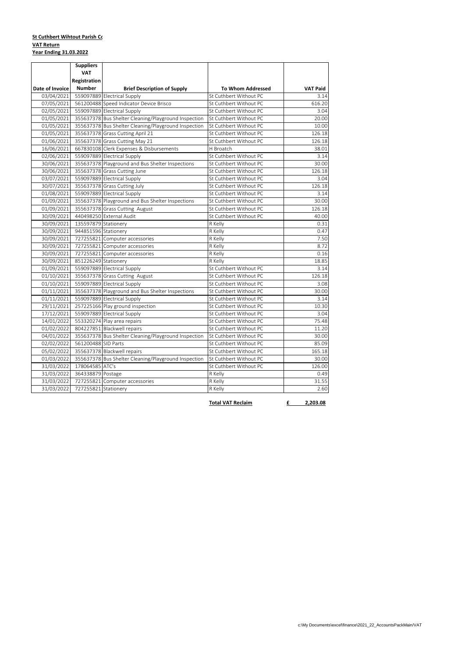#### **VAT Return <u>St Cuthbert Wihtout Parish Co</u> Year Ending 31.03.2022**

| <b>VAT</b><br>Registration<br><b>Number</b><br>Date of Invoice<br><b>Brief Description of Supply</b><br><b>To Whom Addressed</b><br>559097889 Electrical Supply<br>03/04/2021<br>St Cuthbert Without PC<br>561200488 Speed Indicator Device Brisco<br>07/05/2021<br>St Cuthbert Without PC<br>02/05/2021<br>559097889 Electrical Supply<br>St Cuthbert Without PC<br>355637378 Bus Shelter Cleaning/Playground Inspection<br>01/05/2021<br>St Cuthbert Without PC<br>01/05/2021<br>355637378 Bus Shelter Cleaning/Playground Inspection<br>St Cuthbert Without PC<br>01/05/2021<br>355637378 Grass Cutting April 21<br>St Cuthbert Without PC<br>01/06/2021<br>355637378 Grass Cutting May 21<br>St Cuthbert Without PC<br>667830108 Clerk Expenses & Disbursements<br>16/06/2021<br>H Broatch<br>559097889 Electrical Supply<br>02/06/2021<br>St Cuthbert Without PC<br>355637378 Playground and Bus Shelter Inspections<br>30/06/2021<br>St Cuthbert Without PC<br>30/06/2021<br>355637378 Grass Cutting June<br>St Cuthbert Without PC<br>03/07/2021<br>559097889 Electrical Supply<br>St Cuthbert Without PC<br>30/07/2021<br>355637378 Grass Cutting July<br>St Cuthbert Without PC<br>01/08/2021<br>559097889 Electrical Supply<br>St Cuthbert Without PC<br>355637378 Playground and Bus Shelter Inspections<br>01/09/2021<br>St Cuthbert Without PC<br>01/09/2021<br>355637378 Grass Cutting August<br>St Cuthbert Without PC<br>440498250 External Audit<br>St Cuthbert Without PC<br>30/09/2021<br>30/09/2021<br>135597879 Stationery<br>R Kelly<br>30/09/2021<br>944851596 Stationery<br>R Kelly<br>727255821 Computer accessories<br>R Kelly<br>30/09/2021<br>727255821 Computer accessories<br>R Kelly<br>30/09/2021<br>30/09/2021<br>727255821 Computer accessories<br>R Kelly<br>851226249 Stationery<br>30/09/2021<br>R Kelly<br>559097889 Electrical Supply<br>01/09/2021<br>St Cuthbert Without PC<br>01/10/2021<br>355637378 Grass Cutting August<br>St Cuthbert Without PC<br>559097889 Electrical Supply<br>St Cuthbert Without PC<br>01/10/2021<br>355637378 Playground and Bus Shelter Inspections<br>01/11/2021<br>St Cuthbert Without PC<br>559097889 Electrical Supply<br>01/11/2021<br>St Cuthbert Without PC<br>257225166 Play ground inspection<br>29/11/2021<br>St Cuthbert Without PC<br>559097889 Electrical Supply<br>17/12/2021<br>St Cuthbert Without PC<br>553320274 Play area repairs<br>14/01/2022<br>St Cuthbert Without PC<br>804227851 Blackwell repairs<br>01/02/2022<br>St Cuthbert Without PC<br>355637378 Bus Shelter Cleaning/Playground Inspection<br>04/01/2022<br>St Cuthbert Without PC<br>561200488 SID Parts<br>St Cuthbert Without PC |                 |
|--------------------------------------------------------------------------------------------------------------------------------------------------------------------------------------------------------------------------------------------------------------------------------------------------------------------------------------------------------------------------------------------------------------------------------------------------------------------------------------------------------------------------------------------------------------------------------------------------------------------------------------------------------------------------------------------------------------------------------------------------------------------------------------------------------------------------------------------------------------------------------------------------------------------------------------------------------------------------------------------------------------------------------------------------------------------------------------------------------------------------------------------------------------------------------------------------------------------------------------------------------------------------------------------------------------------------------------------------------------------------------------------------------------------------------------------------------------------------------------------------------------------------------------------------------------------------------------------------------------------------------------------------------------------------------------------------------------------------------------------------------------------------------------------------------------------------------------------------------------------------------------------------------------------------------------------------------------------------------------------------------------------------------------------------------------------------------------------------------------------------------------------------------------------------------------------------------------------------------------------------------------------------------------------------------------------------------------------------------------------------------------------------------------------------------------------------------------------------------------------------------------------------------------------------------------------------------------------------------------------------------------------------------------------------------------------|-----------------|
|                                                                                                                                                                                                                                                                                                                                                                                                                                                                                                                                                                                                                                                                                                                                                                                                                                                                                                                                                                                                                                                                                                                                                                                                                                                                                                                                                                                                                                                                                                                                                                                                                                                                                                                                                                                                                                                                                                                                                                                                                                                                                                                                                                                                                                                                                                                                                                                                                                                                                                                                                                                                                                                                                            |                 |
|                                                                                                                                                                                                                                                                                                                                                                                                                                                                                                                                                                                                                                                                                                                                                                                                                                                                                                                                                                                                                                                                                                                                                                                                                                                                                                                                                                                                                                                                                                                                                                                                                                                                                                                                                                                                                                                                                                                                                                                                                                                                                                                                                                                                                                                                                                                                                                                                                                                                                                                                                                                                                                                                                            |                 |
|                                                                                                                                                                                                                                                                                                                                                                                                                                                                                                                                                                                                                                                                                                                                                                                                                                                                                                                                                                                                                                                                                                                                                                                                                                                                                                                                                                                                                                                                                                                                                                                                                                                                                                                                                                                                                                                                                                                                                                                                                                                                                                                                                                                                                                                                                                                                                                                                                                                                                                                                                                                                                                                                                            | <b>VAT Paid</b> |
|                                                                                                                                                                                                                                                                                                                                                                                                                                                                                                                                                                                                                                                                                                                                                                                                                                                                                                                                                                                                                                                                                                                                                                                                                                                                                                                                                                                                                                                                                                                                                                                                                                                                                                                                                                                                                                                                                                                                                                                                                                                                                                                                                                                                                                                                                                                                                                                                                                                                                                                                                                                                                                                                                            | 3.14            |
|                                                                                                                                                                                                                                                                                                                                                                                                                                                                                                                                                                                                                                                                                                                                                                                                                                                                                                                                                                                                                                                                                                                                                                                                                                                                                                                                                                                                                                                                                                                                                                                                                                                                                                                                                                                                                                                                                                                                                                                                                                                                                                                                                                                                                                                                                                                                                                                                                                                                                                                                                                                                                                                                                            | 616.20          |
|                                                                                                                                                                                                                                                                                                                                                                                                                                                                                                                                                                                                                                                                                                                                                                                                                                                                                                                                                                                                                                                                                                                                                                                                                                                                                                                                                                                                                                                                                                                                                                                                                                                                                                                                                                                                                                                                                                                                                                                                                                                                                                                                                                                                                                                                                                                                                                                                                                                                                                                                                                                                                                                                                            | 3.04            |
|                                                                                                                                                                                                                                                                                                                                                                                                                                                                                                                                                                                                                                                                                                                                                                                                                                                                                                                                                                                                                                                                                                                                                                                                                                                                                                                                                                                                                                                                                                                                                                                                                                                                                                                                                                                                                                                                                                                                                                                                                                                                                                                                                                                                                                                                                                                                                                                                                                                                                                                                                                                                                                                                                            | 20.00           |
|                                                                                                                                                                                                                                                                                                                                                                                                                                                                                                                                                                                                                                                                                                                                                                                                                                                                                                                                                                                                                                                                                                                                                                                                                                                                                                                                                                                                                                                                                                                                                                                                                                                                                                                                                                                                                                                                                                                                                                                                                                                                                                                                                                                                                                                                                                                                                                                                                                                                                                                                                                                                                                                                                            | 10.00           |
|                                                                                                                                                                                                                                                                                                                                                                                                                                                                                                                                                                                                                                                                                                                                                                                                                                                                                                                                                                                                                                                                                                                                                                                                                                                                                                                                                                                                                                                                                                                                                                                                                                                                                                                                                                                                                                                                                                                                                                                                                                                                                                                                                                                                                                                                                                                                                                                                                                                                                                                                                                                                                                                                                            | 126.18          |
|                                                                                                                                                                                                                                                                                                                                                                                                                                                                                                                                                                                                                                                                                                                                                                                                                                                                                                                                                                                                                                                                                                                                                                                                                                                                                                                                                                                                                                                                                                                                                                                                                                                                                                                                                                                                                                                                                                                                                                                                                                                                                                                                                                                                                                                                                                                                                                                                                                                                                                                                                                                                                                                                                            | 126.18          |
|                                                                                                                                                                                                                                                                                                                                                                                                                                                                                                                                                                                                                                                                                                                                                                                                                                                                                                                                                                                                                                                                                                                                                                                                                                                                                                                                                                                                                                                                                                                                                                                                                                                                                                                                                                                                                                                                                                                                                                                                                                                                                                                                                                                                                                                                                                                                                                                                                                                                                                                                                                                                                                                                                            | 38.01           |
|                                                                                                                                                                                                                                                                                                                                                                                                                                                                                                                                                                                                                                                                                                                                                                                                                                                                                                                                                                                                                                                                                                                                                                                                                                                                                                                                                                                                                                                                                                                                                                                                                                                                                                                                                                                                                                                                                                                                                                                                                                                                                                                                                                                                                                                                                                                                                                                                                                                                                                                                                                                                                                                                                            | 3.14            |
|                                                                                                                                                                                                                                                                                                                                                                                                                                                                                                                                                                                                                                                                                                                                                                                                                                                                                                                                                                                                                                                                                                                                                                                                                                                                                                                                                                                                                                                                                                                                                                                                                                                                                                                                                                                                                                                                                                                                                                                                                                                                                                                                                                                                                                                                                                                                                                                                                                                                                                                                                                                                                                                                                            | 30.00           |
|                                                                                                                                                                                                                                                                                                                                                                                                                                                                                                                                                                                                                                                                                                                                                                                                                                                                                                                                                                                                                                                                                                                                                                                                                                                                                                                                                                                                                                                                                                                                                                                                                                                                                                                                                                                                                                                                                                                                                                                                                                                                                                                                                                                                                                                                                                                                                                                                                                                                                                                                                                                                                                                                                            | 126.18          |
|                                                                                                                                                                                                                                                                                                                                                                                                                                                                                                                                                                                                                                                                                                                                                                                                                                                                                                                                                                                                                                                                                                                                                                                                                                                                                                                                                                                                                                                                                                                                                                                                                                                                                                                                                                                                                                                                                                                                                                                                                                                                                                                                                                                                                                                                                                                                                                                                                                                                                                                                                                                                                                                                                            | 3.04            |
|                                                                                                                                                                                                                                                                                                                                                                                                                                                                                                                                                                                                                                                                                                                                                                                                                                                                                                                                                                                                                                                                                                                                                                                                                                                                                                                                                                                                                                                                                                                                                                                                                                                                                                                                                                                                                                                                                                                                                                                                                                                                                                                                                                                                                                                                                                                                                                                                                                                                                                                                                                                                                                                                                            | 126.18          |
|                                                                                                                                                                                                                                                                                                                                                                                                                                                                                                                                                                                                                                                                                                                                                                                                                                                                                                                                                                                                                                                                                                                                                                                                                                                                                                                                                                                                                                                                                                                                                                                                                                                                                                                                                                                                                                                                                                                                                                                                                                                                                                                                                                                                                                                                                                                                                                                                                                                                                                                                                                                                                                                                                            | 3.14            |
|                                                                                                                                                                                                                                                                                                                                                                                                                                                                                                                                                                                                                                                                                                                                                                                                                                                                                                                                                                                                                                                                                                                                                                                                                                                                                                                                                                                                                                                                                                                                                                                                                                                                                                                                                                                                                                                                                                                                                                                                                                                                                                                                                                                                                                                                                                                                                                                                                                                                                                                                                                                                                                                                                            | 30.00           |
|                                                                                                                                                                                                                                                                                                                                                                                                                                                                                                                                                                                                                                                                                                                                                                                                                                                                                                                                                                                                                                                                                                                                                                                                                                                                                                                                                                                                                                                                                                                                                                                                                                                                                                                                                                                                                                                                                                                                                                                                                                                                                                                                                                                                                                                                                                                                                                                                                                                                                                                                                                                                                                                                                            | 126.18          |
|                                                                                                                                                                                                                                                                                                                                                                                                                                                                                                                                                                                                                                                                                                                                                                                                                                                                                                                                                                                                                                                                                                                                                                                                                                                                                                                                                                                                                                                                                                                                                                                                                                                                                                                                                                                                                                                                                                                                                                                                                                                                                                                                                                                                                                                                                                                                                                                                                                                                                                                                                                                                                                                                                            | 40.00           |
|                                                                                                                                                                                                                                                                                                                                                                                                                                                                                                                                                                                                                                                                                                                                                                                                                                                                                                                                                                                                                                                                                                                                                                                                                                                                                                                                                                                                                                                                                                                                                                                                                                                                                                                                                                                                                                                                                                                                                                                                                                                                                                                                                                                                                                                                                                                                                                                                                                                                                                                                                                                                                                                                                            | 0.31            |
|                                                                                                                                                                                                                                                                                                                                                                                                                                                                                                                                                                                                                                                                                                                                                                                                                                                                                                                                                                                                                                                                                                                                                                                                                                                                                                                                                                                                                                                                                                                                                                                                                                                                                                                                                                                                                                                                                                                                                                                                                                                                                                                                                                                                                                                                                                                                                                                                                                                                                                                                                                                                                                                                                            | 0.47            |
|                                                                                                                                                                                                                                                                                                                                                                                                                                                                                                                                                                                                                                                                                                                                                                                                                                                                                                                                                                                                                                                                                                                                                                                                                                                                                                                                                                                                                                                                                                                                                                                                                                                                                                                                                                                                                                                                                                                                                                                                                                                                                                                                                                                                                                                                                                                                                                                                                                                                                                                                                                                                                                                                                            | 7.50            |
|                                                                                                                                                                                                                                                                                                                                                                                                                                                                                                                                                                                                                                                                                                                                                                                                                                                                                                                                                                                                                                                                                                                                                                                                                                                                                                                                                                                                                                                                                                                                                                                                                                                                                                                                                                                                                                                                                                                                                                                                                                                                                                                                                                                                                                                                                                                                                                                                                                                                                                                                                                                                                                                                                            | 8.72            |
|                                                                                                                                                                                                                                                                                                                                                                                                                                                                                                                                                                                                                                                                                                                                                                                                                                                                                                                                                                                                                                                                                                                                                                                                                                                                                                                                                                                                                                                                                                                                                                                                                                                                                                                                                                                                                                                                                                                                                                                                                                                                                                                                                                                                                                                                                                                                                                                                                                                                                                                                                                                                                                                                                            | 0.16            |
|                                                                                                                                                                                                                                                                                                                                                                                                                                                                                                                                                                                                                                                                                                                                                                                                                                                                                                                                                                                                                                                                                                                                                                                                                                                                                                                                                                                                                                                                                                                                                                                                                                                                                                                                                                                                                                                                                                                                                                                                                                                                                                                                                                                                                                                                                                                                                                                                                                                                                                                                                                                                                                                                                            | 18.85           |
|                                                                                                                                                                                                                                                                                                                                                                                                                                                                                                                                                                                                                                                                                                                                                                                                                                                                                                                                                                                                                                                                                                                                                                                                                                                                                                                                                                                                                                                                                                                                                                                                                                                                                                                                                                                                                                                                                                                                                                                                                                                                                                                                                                                                                                                                                                                                                                                                                                                                                                                                                                                                                                                                                            | 3.14            |
|                                                                                                                                                                                                                                                                                                                                                                                                                                                                                                                                                                                                                                                                                                                                                                                                                                                                                                                                                                                                                                                                                                                                                                                                                                                                                                                                                                                                                                                                                                                                                                                                                                                                                                                                                                                                                                                                                                                                                                                                                                                                                                                                                                                                                                                                                                                                                                                                                                                                                                                                                                                                                                                                                            | 126.18          |
|                                                                                                                                                                                                                                                                                                                                                                                                                                                                                                                                                                                                                                                                                                                                                                                                                                                                                                                                                                                                                                                                                                                                                                                                                                                                                                                                                                                                                                                                                                                                                                                                                                                                                                                                                                                                                                                                                                                                                                                                                                                                                                                                                                                                                                                                                                                                                                                                                                                                                                                                                                                                                                                                                            | 3.08            |
|                                                                                                                                                                                                                                                                                                                                                                                                                                                                                                                                                                                                                                                                                                                                                                                                                                                                                                                                                                                                                                                                                                                                                                                                                                                                                                                                                                                                                                                                                                                                                                                                                                                                                                                                                                                                                                                                                                                                                                                                                                                                                                                                                                                                                                                                                                                                                                                                                                                                                                                                                                                                                                                                                            | 30.00           |
|                                                                                                                                                                                                                                                                                                                                                                                                                                                                                                                                                                                                                                                                                                                                                                                                                                                                                                                                                                                                                                                                                                                                                                                                                                                                                                                                                                                                                                                                                                                                                                                                                                                                                                                                                                                                                                                                                                                                                                                                                                                                                                                                                                                                                                                                                                                                                                                                                                                                                                                                                                                                                                                                                            | 3.14            |
|                                                                                                                                                                                                                                                                                                                                                                                                                                                                                                                                                                                                                                                                                                                                                                                                                                                                                                                                                                                                                                                                                                                                                                                                                                                                                                                                                                                                                                                                                                                                                                                                                                                                                                                                                                                                                                                                                                                                                                                                                                                                                                                                                                                                                                                                                                                                                                                                                                                                                                                                                                                                                                                                                            | 10.30           |
|                                                                                                                                                                                                                                                                                                                                                                                                                                                                                                                                                                                                                                                                                                                                                                                                                                                                                                                                                                                                                                                                                                                                                                                                                                                                                                                                                                                                                                                                                                                                                                                                                                                                                                                                                                                                                                                                                                                                                                                                                                                                                                                                                                                                                                                                                                                                                                                                                                                                                                                                                                                                                                                                                            | 3.04            |
|                                                                                                                                                                                                                                                                                                                                                                                                                                                                                                                                                                                                                                                                                                                                                                                                                                                                                                                                                                                                                                                                                                                                                                                                                                                                                                                                                                                                                                                                                                                                                                                                                                                                                                                                                                                                                                                                                                                                                                                                                                                                                                                                                                                                                                                                                                                                                                                                                                                                                                                                                                                                                                                                                            | 75.48           |
|                                                                                                                                                                                                                                                                                                                                                                                                                                                                                                                                                                                                                                                                                                                                                                                                                                                                                                                                                                                                                                                                                                                                                                                                                                                                                                                                                                                                                                                                                                                                                                                                                                                                                                                                                                                                                                                                                                                                                                                                                                                                                                                                                                                                                                                                                                                                                                                                                                                                                                                                                                                                                                                                                            | 11.20           |
|                                                                                                                                                                                                                                                                                                                                                                                                                                                                                                                                                                                                                                                                                                                                                                                                                                                                                                                                                                                                                                                                                                                                                                                                                                                                                                                                                                                                                                                                                                                                                                                                                                                                                                                                                                                                                                                                                                                                                                                                                                                                                                                                                                                                                                                                                                                                                                                                                                                                                                                                                                                                                                                                                            | 30.00           |
| 02/02/2022                                                                                                                                                                                                                                                                                                                                                                                                                                                                                                                                                                                                                                                                                                                                                                                                                                                                                                                                                                                                                                                                                                                                                                                                                                                                                                                                                                                                                                                                                                                                                                                                                                                                                                                                                                                                                                                                                                                                                                                                                                                                                                                                                                                                                                                                                                                                                                                                                                                                                                                                                                                                                                                                                 | 85.09           |
| 355637378 Blackwell repairs<br>St Cuthbert Without PC<br>05/02/2022                                                                                                                                                                                                                                                                                                                                                                                                                                                                                                                                                                                                                                                                                                                                                                                                                                                                                                                                                                                                                                                                                                                                                                                                                                                                                                                                                                                                                                                                                                                                                                                                                                                                                                                                                                                                                                                                                                                                                                                                                                                                                                                                                                                                                                                                                                                                                                                                                                                                                                                                                                                                                        | 165.18          |
| 355637378 Bus Shelter Cleaning/Playground Inspection<br>01/03/2022<br>St Cuthbert Without PC                                                                                                                                                                                                                                                                                                                                                                                                                                                                                                                                                                                                                                                                                                                                                                                                                                                                                                                                                                                                                                                                                                                                                                                                                                                                                                                                                                                                                                                                                                                                                                                                                                                                                                                                                                                                                                                                                                                                                                                                                                                                                                                                                                                                                                                                                                                                                                                                                                                                                                                                                                                               | 30.00           |
| 31/03/2022<br>178064585 ATC's<br>St Cuthbert Without PC                                                                                                                                                                                                                                                                                                                                                                                                                                                                                                                                                                                                                                                                                                                                                                                                                                                                                                                                                                                                                                                                                                                                                                                                                                                                                                                                                                                                                                                                                                                                                                                                                                                                                                                                                                                                                                                                                                                                                                                                                                                                                                                                                                                                                                                                                                                                                                                                                                                                                                                                                                                                                                    | 126.00          |
| 31/03/2022<br>364338879 Postage<br>R Kelly                                                                                                                                                                                                                                                                                                                                                                                                                                                                                                                                                                                                                                                                                                                                                                                                                                                                                                                                                                                                                                                                                                                                                                                                                                                                                                                                                                                                                                                                                                                                                                                                                                                                                                                                                                                                                                                                                                                                                                                                                                                                                                                                                                                                                                                                                                                                                                                                                                                                                                                                                                                                                                                 | 0.49            |
| 31/03/2022<br>R Kelly<br>727255821 Computer accessories                                                                                                                                                                                                                                                                                                                                                                                                                                                                                                                                                                                                                                                                                                                                                                                                                                                                                                                                                                                                                                                                                                                                                                                                                                                                                                                                                                                                                                                                                                                                                                                                                                                                                                                                                                                                                                                                                                                                                                                                                                                                                                                                                                                                                                                                                                                                                                                                                                                                                                                                                                                                                                    | 31.55           |
| 31/03/2022<br>727255821 Stationery<br>R Kelly                                                                                                                                                                                                                                                                                                                                                                                                                                                                                                                                                                                                                                                                                                                                                                                                                                                                                                                                                                                                                                                                                                                                                                                                                                                                                                                                                                                                                                                                                                                                                                                                                                                                                                                                                                                                                                                                                                                                                                                                                                                                                                                                                                                                                                                                                                                                                                                                                                                                                                                                                                                                                                              | 2.60            |

**Total VAT Reclaim £ 2,203.08**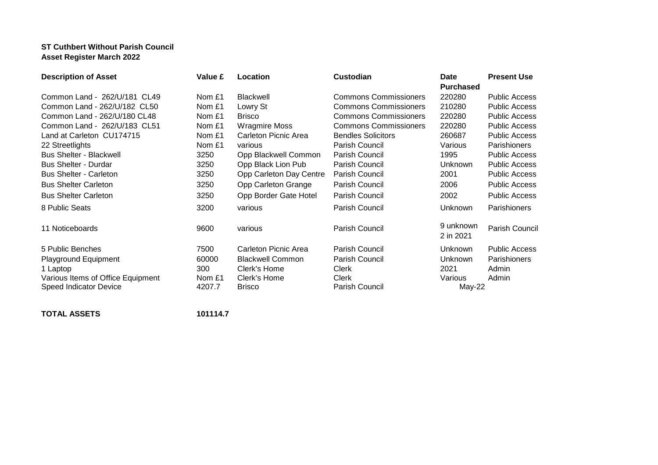## **ST Cuthbert Without Parish Council Asset Register March 2022**

| <b>Description of Asset</b>       | Value £ | Location                | <b>Custodian</b>             | <b>Date</b>            | <b>Present Use</b>   |
|-----------------------------------|---------|-------------------------|------------------------------|------------------------|----------------------|
|                                   |         |                         |                              | <b>Purchased</b>       |                      |
| Common Land - 262/U/181 CL49      | Nom £1  | Blackwell               | <b>Commons Commissioners</b> | 220280                 | <b>Public Access</b> |
| Common Land - 262/U/182 CL50      | Nom £1  | Lowry St                | <b>Commons Commissioners</b> | 210280                 | <b>Public Access</b> |
| Common Land - 262/U/180 CL48      | Nom £1  | <b>Brisco</b>           | <b>Commons Commissioners</b> | 220280                 | <b>Public Access</b> |
| Common Land - 262/U/183 CL51      | Nom £1  | <b>Wragmire Moss</b>    | <b>Commons Commissioners</b> | 220280                 | <b>Public Access</b> |
| Land at Carleton CU174715         | Nom £1  | Carleton Picnic Area    | <b>Bendles Solicitors</b>    | 260687                 | <b>Public Access</b> |
| 22 Streetlights                   | Nom £1  | various                 | Parish Council               | Various                | <b>Parishioners</b>  |
| <b>Bus Shelter - Blackwell</b>    | 3250    | Opp Blackwell Common    | Parish Council               | 1995                   | <b>Public Access</b> |
| <b>Bus Shelter - Durdar</b>       | 3250    | Opp Black Lion Pub      | Parish Council               | Unknown                | <b>Public Access</b> |
| <b>Bus Shelter - Carleton</b>     | 3250    | Opp Carleton Day Centre | Parish Council               | 2001                   | <b>Public Access</b> |
| <b>Bus Shelter Carleton</b>       | 3250    | Opp Carleton Grange     | Parish Council               | 2006                   | <b>Public Access</b> |
| <b>Bus Shelter Carleton</b>       | 3250    | Opp Border Gate Hotel   | Parish Council               | 2002                   | <b>Public Access</b> |
| 8 Public Seats                    | 3200    | various                 | Parish Council               | Unknown                | Parishioners         |
| 11 Noticeboards                   | 9600    | various                 | Parish Council               | 9 unknown<br>2 in 2021 | Parish Council       |
| 5 Public Benches                  | 7500    | Carleton Picnic Area    | Parish Council               | Unknown                | <b>Public Access</b> |
| <b>Playground Equipment</b>       | 60000   | <b>Blackwell Common</b> | Parish Council               | Unknown                | Parishioners         |
| 1 Laptop                          | 300     | Clerk's Home            | <b>Clerk</b>                 | 2021                   | Admin                |
| Various Items of Office Equipment | Nom £1  | Clerk's Home            | <b>Clerk</b>                 | Various                | Admin                |
| Speed Indicator Device            | 4207.7  | <b>Brisco</b>           | Parish Council               | May-22                 |                      |
|                                   |         |                         |                              |                        |                      |

**TOTAL ASSETS 101114.7**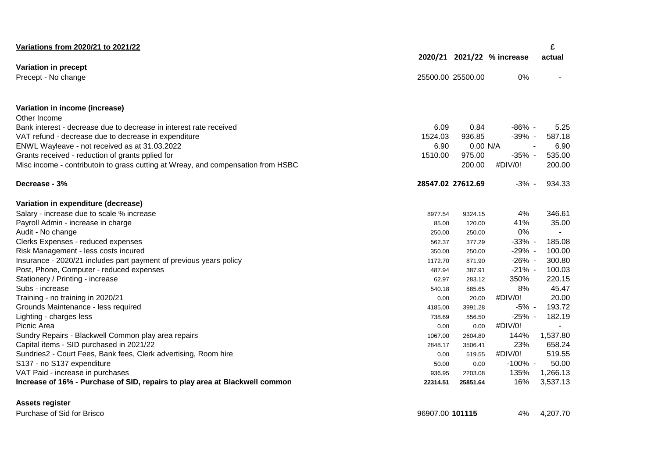| Variations from 2020/21 to 2021/22                                               |          |                   |                            | £        |
|----------------------------------------------------------------------------------|----------|-------------------|----------------------------|----------|
|                                                                                  |          |                   | 2020/21 2021/22 % increase | actual   |
| Variation in precept                                                             |          |                   |                            |          |
| Precept - No change                                                              |          | 25500.00 25500.00 | 0%                         |          |
| Variation in income (increase)                                                   |          |                   |                            |          |
| Other Income                                                                     |          |                   |                            |          |
| Bank interest - decrease due to decrease in interest rate received               | 6.09     | 0.84              | $-86\%$ -                  | 5.25     |
| VAT refund - decrease due to decrease in expenditure                             | 1524.03  | 936.85            | $-39\%$ -                  | 587.18   |
| ENWL Wayleave - not received as at 31.03.2022                                    | 6.90     | 0.00 N/A          | $\sim$                     | 6.90     |
| Grants received - reduction of grants pplied for                                 | 1510.00  | 975.00            | $-35%$ -                   | 535.00   |
| Misc income - contributoin to grass cutting at Wreay, and compensation from HSBC |          | 200.00            | #DIV/0!                    | 200.00   |
| Decrease - 3%                                                                    |          | 28547.02 27612.69 | $-3% -$                    | 934.33   |
| Variation in expenditure (decrease)                                              |          |                   |                            |          |
| Salary - increase due to scale % increase                                        | 8977.54  | 9324.15           | 4%                         | 346.61   |
| Payroll Admin - increase in charge                                               | 85.00    | 120.00            | 41%                        | 35.00    |
| Audit - No change                                                                | 250.00   | 250.00            | 0%                         |          |
| Clerks Expenses - reduced expenses                                               | 562.37   | 377.29            | $-33%$ -                   | 185.08   |
| Risk Management - less costs incured                                             | 350.00   | 250.00            | $-29\%$ -                  | 100.00   |
| Insurance - 2020/21 includes part payment of previous years policy               | 1172.70  | 871.90            | $-26%$ -                   | 300.80   |
| Post, Phone, Computer - reduced expenses                                         | 487.94   | 387.91            | $-21\%$ -                  | 100.03   |
| Stationery / Printing - increase                                                 | 62.97    | 283.12            | 350%                       | 220.15   |
| Subs - increase                                                                  | 540.18   | 585.65            | 8%                         | 45.47    |
| Training - no training in 2020/21                                                | 0.00     | 20.00             | #DIV/0!                    | 20.00    |
| Grounds Maintenance - less required                                              | 4185.00  | 3991.28           | -5% -                      | 193.72   |
| Lighting - charges less                                                          | 738.69   | 556.50            | $-25%$ -                   | 182.19   |
| Picnic Area                                                                      | 0.00     | 0.00              | #DIV/0!                    | $\sim$   |
| Sundry Repairs - Blackwell Common play area repairs                              | 1067.00  | 2604.80           | 144%                       | 1,537.80 |
| Capital items - SID purchased in 2021/22                                         | 2848.17  | 3506.41           | 23%                        | 658.24   |
| Sundries2 - Court Fees, Bank fees, Clerk advertising, Room hire                  | 0.00     | 519.55            | #DIV/0!                    | 519.55   |
| S137 - no S137 expenditure                                                       | 50.00    | 0.00              | $-100\%$ -                 | 50.00    |
| VAT Paid - increase in purchases                                                 | 936.95   | 2203.08           | 135%                       | 1,266.13 |
| Increase of 16% - Purchase of SID, repairs to play area at Blackwell common      | 22314.51 | 25851.64          | 16%                        | 3,537.13 |
| Assets register                                                                  |          |                   |                            |          |

Purchase of Sid for Brisco 96907.00 **101115** 4% 4,207.70